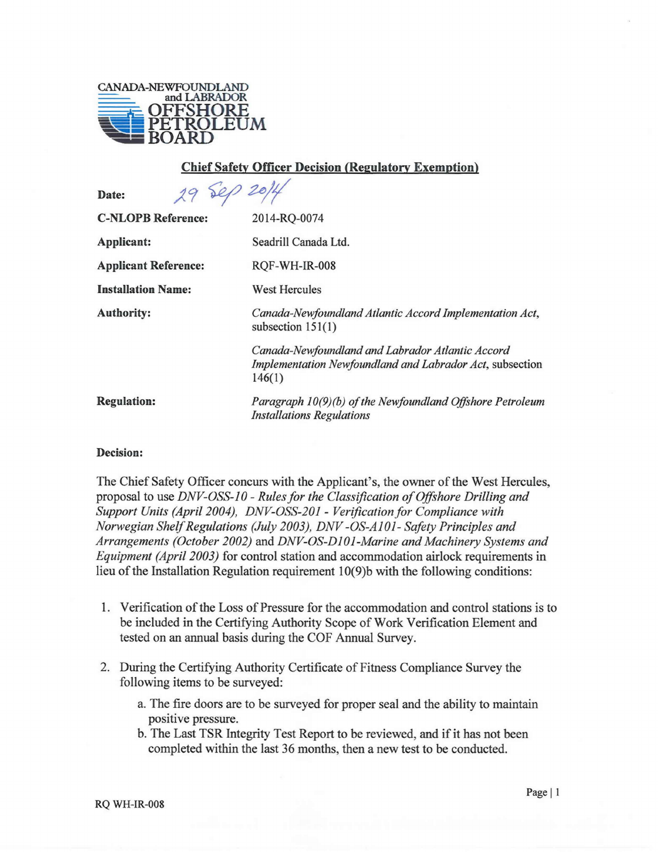

## Chief Safety Officer Decision (Regulatory Exemption)

| 29 Sep 2014<br>Date:        |                                                                                                                        |
|-----------------------------|------------------------------------------------------------------------------------------------------------------------|
| <b>C-NLOPB Reference:</b>   | 2014-RQ-0074                                                                                                           |
| <b>Applicant:</b>           | Seadrill Canada Ltd.                                                                                                   |
| <b>Applicant Reference:</b> | RQF-WH-IR-008                                                                                                          |
| <b>Installation Name:</b>   | West Hercules                                                                                                          |
| <b>Authority:</b>           | Canada-Newfoundland Atlantic Accord Implementation Act,<br>subsection $151(1)$                                         |
|                             | Canada-Newfoundland and Labrador Atlantic Accord<br>Implementation Newfoundland and Labrador Act, subsection<br>146(1) |
| <b>Regulation:</b>          | Paragraph 10(9)(b) of the Newfoundland Offshore Petroleum<br><b>Installations Regulations</b>                          |

## Decision:

The Chief Safety Officer concurs with the Applicant's, the owner of the West Hercules, proposal to use *DNV-OSS-i 0 - Rules for the Classification of Offshore Drilling and Support Units (April 2004), DNV-OSS-20i - Verificationfor Compliance with Norwegian Shelf Regulations (.July 2003), DNV -OS-Ai 01- Safety Principles and Arrangements (October 2002)* and *DNV-OS-D101-Marine and Machinery Systems and Equipment (April 2003)* for control station and accommodation airlock requirements in lieu of the Installation Regulation requirement 10(9)b with the following conditions:

- 1. Verification of the Loss of Pressure for the accommodation and control stations is to be included in the Certifying Authority Scope of Work Verification Element and tested on an annual basis during the COF Annual Survey.
- 2. During the Certifying Authority Certificate of Fitness Compliance Survey the following items to be surveyed:
	- a. The fire doors are to be surveyed for proper seal and the ability to maintain positive pressure.
	- b. The Last TSR Integrity Test Report to be reviewed, and if it has not been completed within the last 36 months, then a new test to be conducted.